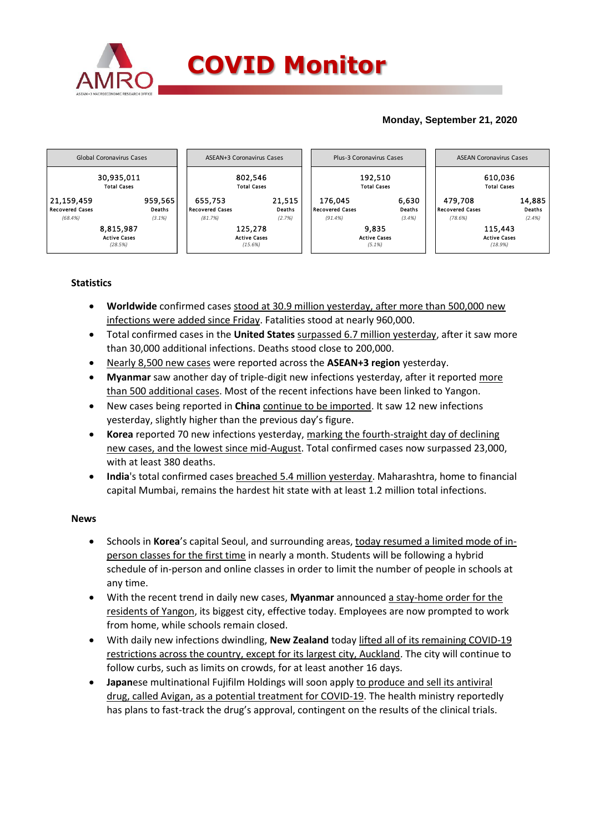

## **Monday, September 21, 2020**



## **Statistics**

- **Worldwide** confirmed cases stood at 30.9 million yesterday, after more than 500,000 new infections were added since Friday. Fatalities stood at nearly 960,000.
- Total confirmed cases in the **United States** surpassed 6.7 million yesterday, after it saw more than 30,000 additional infections. Deaths stood close to 200,000.
- Nearly 8,500 new cases were reported across the **ASEAN+3 region** yesterday.
- **Myanmar** saw another day of triple-digit new infections yesterday, after it reported more than 500 additional cases. Most of the recent infections have been linked to Yangon.
- New cases being reported in **China** continue to be imported. It saw 12 new infections yesterday, slightly higher than the previous day's figure.
- **Korea** reported 70 new infections yesterday, marking the fourth-straight day of declining new cases, and the lowest since mid-August. Total confirmed cases now surpassed 23,000, with at least 380 deaths.
- **India**'s total confirmed cases breached 5.4 million yesterday. Maharashtra, home to financial capital Mumbai, remains the hardest hit state with at least 1.2 million total infections.

## **News**

- Schools in **Korea**'s capital Seoul, and surrounding areas, today resumed a limited mode of inperson classes for the first time in nearly a month. Students will be following a hybrid schedule of in-person and online classes in order to limit the number of people in schools at any time.
- With the recent trend in daily new cases, **Myanmar** announced a stay-home order for the residents of Yangon, its biggest city, effective today. Employees are now prompted to work from home, while schools remain closed.
- With daily new infections dwindling, **New Zealand** today lifted all of its remaining COVID-19 restrictions across the country, except for its largest city, Auckland. The city will continue to follow curbs, such as limits on crowds, for at least another 16 days.
- **Japan**ese multinational Fujifilm Holdings will soon apply to produce and sell its antiviral drug, called Avigan, as a potential treatment for COVID-19. The health ministry reportedly has plans to fast-track the drug's approval, contingent on the results of the clinical trials.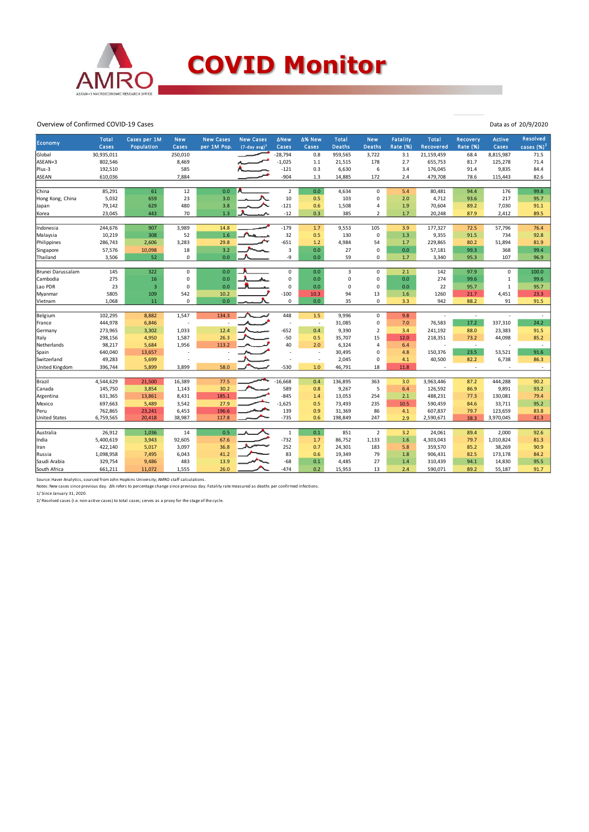

Overview of Confirmed COVID-19 Cases

| Economy<br>cases $(%)2$<br>Cases<br>Population<br>$(7-day avg)^1$<br>Cases<br><b>Deaths</b><br><b>Rate (%)</b><br>Recovered<br><b>Rate (%)</b><br>Cases<br>per 1M Pop.<br>Cases<br><b>Deaths</b><br>Cases<br>Global<br>30,935,011<br>250,010<br>$-28,794$<br>0.8<br>959,565<br>3,722<br>21,159,459<br>68.4<br>8,815,987<br>71.5<br>3.1<br>$-1,025$<br>ASEAN+3<br>802,546<br>8,469<br>178<br>2.7<br>125,278<br>71.4<br>1.1<br>21,515<br>655,753<br>81.7<br>585<br>Plus-3<br>192,510<br>$-121$<br>0.3<br>6,630<br>6<br>3.4<br>176,045<br>91.4<br>9,835<br>84.4<br>7,884<br>$-904$<br>172<br>82.6<br><b>ASEAN</b><br>610,036<br>1.3<br>14,885<br>2.4<br>479,708<br>78.6<br>115,443<br>85,291<br>61<br>$\overline{2}$<br>0.0<br>176<br>99.8<br>China<br>12<br>0.0<br>4,634<br>$\mathbf 0$<br>5.4<br>80,481<br>94.4<br>10<br>5,032<br>23<br>3.0<br>103<br>217<br>Hong Kong, China<br>659<br>0.5<br>$\mathbf 0$<br>2.0<br>4,712<br>93.6<br>95.7<br>480<br>3.8<br>$-121$<br>1,508<br>7,030<br>79,142<br>629<br>0.6<br>$\overline{4}$<br>1.9<br>70,604<br>89.2<br>91.1<br>Japan<br>1.3<br>23,045<br>70<br>$-12$<br>385<br>1.7<br>87.9<br>89.5<br>443<br>0.3<br>$\overline{2}$<br>20,248<br>2,412<br>Korea<br>907<br>$-179$<br>244,676<br>3,989<br>14.8<br>1.7<br>9,553<br>105<br>3.9<br>177,327<br>72.5<br>57,796<br>76.4<br>Indonesia<br>$\sim$<br>52<br>32<br>1.3<br>734<br>10,219<br>308<br>1.6<br>0.5<br>130<br>$\mathbf 0$<br>9,355<br>91.5<br>92.8<br>Malaysia<br>$-651$<br>4,984<br>54<br>Philippines<br>286,743<br>2,606<br>3,283<br>29.8<br>1.2<br>$1.7$<br>229,865<br>80.2<br>51,894<br>81.9<br>3.2<br>3<br>57,576<br>10,098<br>18<br>0.0<br>27<br>$\Omega$<br>0.0<br>57,181<br>99.3<br>368<br>99.4<br>Singapore<br>3,506<br>52<br>0.0<br>-9<br>59<br>Thailand<br>0<br>0.0<br>$\mathbf 0$<br>1.7<br>3,340<br>95.3<br>107<br>96.9<br>$\overline{3}$<br>322<br>$\mathbf 0$<br>0<br>0.0<br>$\mathbf 0$<br>Brunei Darussalam<br>145<br>0.0<br>2.1<br>142<br>97.9<br>0<br>100.0<br>275<br>0.0<br>$\pmb{0}$<br>0.0<br>$\mathbf 0$<br>274<br>99.6<br>99.6<br>Cambodia<br>16<br>0<br>$\mathbf 0$<br>0.0<br>1<br>$\mathbf 0$<br>23<br>0.0<br>$\mathbf 0$<br>22<br>Lao PDR<br>3<br>0<br>0.0<br>$\mathbf 0$<br>0.0<br>95.7<br>95.7<br>1<br>5805<br>$-100$<br>94<br>13<br>1260<br>23.3<br>109<br>542<br>10.2<br>10.3<br>1.6<br>21.7<br>4,451<br>Myanmar<br>1,068<br>11<br>$\mathbf 0$<br>0.0<br>0<br>0.0<br>35<br>$\mathbf 0$<br>942<br>88.2<br>91<br>91.5<br>3.3<br>Vietnam<br>134.3<br>1,547<br>448<br>1.5<br>$\mathbf 0$<br>102,295<br>8,882<br>9,996<br>9.8<br>Belgium<br>$\sim$<br>$\sim$<br>$\sim$<br>17.2<br>444,978<br>24.2<br>6,846<br>31,085<br>$\Omega$<br>7.0<br>76,583<br>337,310<br>France<br>$\overline{\phantom{a}}$<br>1,033<br>$-652$<br>9,390<br>273,965<br>3,302<br>12.4<br>0.4<br>$\overline{2}$<br>241,192<br>88.0<br>23,383<br>91.5<br>3.4<br>Germany<br>26.3<br>$-50$<br>15<br>298,156<br>1,587<br>0.5<br>35,707<br>12.0<br>218,351<br>73.2<br>44,098<br>85.2<br>Italy<br>4,950<br>40<br>6,324<br>98,217<br>5,684<br>1,956<br>113.2<br>2.0<br>6.4<br>Netherlands<br>$\overline{a}$<br>$\sim$<br>$\overline{\phantom{a}}$<br>640,040<br>150,376<br>23.5<br>53,521<br>91.6<br>13,657<br>30,495<br>$\Omega$<br>4.8<br>Spain<br>Switzerland<br>49,283<br>5,699<br>2,045<br>$\mathbf 0$<br>4.1<br>40,500<br>82.2<br>6,738<br>86.3<br>$\overline{a}$<br>5,899<br>3,899<br>$-530$<br>1.0<br>46,791<br>18<br>11.8<br>United Kingdom<br>396,744<br>58.0<br>4,544,629<br>21,500<br>16,389<br>77.5<br>$-16,668$<br>0.4<br>136,895<br>363<br>3.0<br>3,963,446<br>87.2<br>444,288<br>90.2<br>Brazil<br>30.2<br>589<br>145,750<br>3,854<br>1,143<br>0.8<br>9,267<br>5<br>6.4<br>126,592<br>86.9<br>9,891<br>93.2<br>Canada<br>$-845$<br>631,365<br>8,431<br>185.1<br>13,053<br>254<br>488,231<br>77.3<br>130,081<br>79.4<br>13,861<br>1.4<br>2.1<br>Argentina<br>95.2<br>697,663<br>5,489<br>3,542<br>27.9<br>$-1,625$<br>0.5<br>73,493<br>235<br>10.5<br>590,459<br>84.6<br>33,711<br>Mexico<br>196.6<br>139<br>86<br>83.8<br>762,865<br>23,241<br>6,453<br>0.9<br>31,369<br>4.1<br>607,837<br>79.7<br>123,659<br>Peru<br>$-735$<br>41.3<br><b>United States</b><br>6,759,565<br>20,418<br>38,987<br>117.8<br>0.6<br>198,849<br>247<br>2.9<br>2,590,671<br>3,970,045<br>38.3<br>0.1<br>26,912<br>1,036<br>14<br>0.5<br>$\mathbf 1$<br>851<br>$\overline{2}$<br>3.2<br>24,061<br>89.4<br>2,000<br>92.6<br>Australia<br>5,400,619<br>3,943<br>92,605<br>$-732$<br>1,133<br>1.6<br>4,303,043<br>79.7<br>1,010,824<br>81.3<br>India<br>67.6<br>1.7<br>86,752<br>36.8<br>252<br>90.9<br>422,140<br>5,017<br>3,097<br>0.7<br>183<br>359,570<br>85.2<br>38,269<br>24,301<br>5.8<br>Iran<br>83<br>1,098,958<br>6,043<br>41.2<br>19,349<br>79<br>906,431<br>82.5<br>173,178<br>84.2<br>Russia<br>7,495<br>0.6<br>1.8<br>13.9<br>$-68$<br>27<br>95.5<br>329,754<br>9,486<br>483<br>0.1<br>4,485<br>94.1<br>14,830<br>Saudi Arabia<br>1.4<br>310,439 |              |              |              |            |                  |                  |             |        |              |            |          |              |          |               |                 |
|--------------------------------------------------------------------------------------------------------------------------------------------------------------------------------------------------------------------------------------------------------------------------------------------------------------------------------------------------------------------------------------------------------------------------------------------------------------------------------------------------------------------------------------------------------------------------------------------------------------------------------------------------------------------------------------------------------------------------------------------------------------------------------------------------------------------------------------------------------------------------------------------------------------------------------------------------------------------------------------------------------------------------------------------------------------------------------------------------------------------------------------------------------------------------------------------------------------------------------------------------------------------------------------------------------------------------------------------------------------------------------------------------------------------------------------------------------------------------------------------------------------------------------------------------------------------------------------------------------------------------------------------------------------------------------------------------------------------------------------------------------------------------------------------------------------------------------------------------------------------------------------------------------------------------------------------------------------------------------------------------------------------------------------------------------------------------------------------------------------------------------------------------------------------------------------------------------------------------------------------------------------------------------------------------------------------------------------------------------------------------------------------------------------------------------------------------------------------------------------------------------------------------------------------------------------------------------------------------------------------------------------------------------------------------------------------------------------------------------------------------------------------------------------------------------------------------------------------------------------------------------------------------------------------------------------------------------------------------------------------------------------------------------------------------------------------------------------------------------------------------------------------------------------------------------------------------------------------------------------------------------------------------------------------------------------------------------------------------------------------------------------------------------------------------------------------------------------------------------------------------------------------------------------------------------------------------------------------------------------------------------------------------------------------------------------------------------------------------------------------------------------------------------------------------------------------------------------------------------------------------------------------------------------------------------------------------------------------------------------------------------------------------------------------------------------------------------------------------------------------------------------------------------------------------------------------------------------------------------------------------------------------------------------------------------------------------------------------------------------------------------------------------------------------------------------------------------------------------------------------------------------------------------------------------------------------------------------------------------------------------------------------------------------------------------------------------------------------------------------------------------------------------------------------------------------------------------------------------------------------------------------------------------------------------------------------|--------------|--------------|--------------|------------|------------------|------------------|-------------|--------|--------------|------------|----------|--------------|----------|---------------|-----------------|
|                                                                                                                                                                                                                                                                                                                                                                                                                                                                                                                                                                                                                                                                                                                                                                                                                                                                                                                                                                                                                                                                                                                                                                                                                                                                                                                                                                                                                                                                                                                                                                                                                                                                                                                                                                                                                                                                                                                                                                                                                                                                                                                                                                                                                                                                                                                                                                                                                                                                                                                                                                                                                                                                                                                                                                                                                                                                                                                                                                                                                                                                                                                                                                                                                                                                                                                                                                                                                                                                                                                                                                                                                                                                                                                                                                                                                                                                                                                                                                                                                                                                                                                                                                                                                                                                                                                                                                                                                                                                                                                                                                                                                                                                                                                                                                                                                                                                                                                                            |              | <b>Total</b> | Cases per 1M | <b>New</b> | <b>New Cases</b> | <b>New Cases</b> | <b>ANew</b> | ∆% New | <b>Total</b> | <b>New</b> | Fatality | <b>Total</b> | Recovery | <b>Active</b> | <b>Resolved</b> |
|                                                                                                                                                                                                                                                                                                                                                                                                                                                                                                                                                                                                                                                                                                                                                                                                                                                                                                                                                                                                                                                                                                                                                                                                                                                                                                                                                                                                                                                                                                                                                                                                                                                                                                                                                                                                                                                                                                                                                                                                                                                                                                                                                                                                                                                                                                                                                                                                                                                                                                                                                                                                                                                                                                                                                                                                                                                                                                                                                                                                                                                                                                                                                                                                                                                                                                                                                                                                                                                                                                                                                                                                                                                                                                                                                                                                                                                                                                                                                                                                                                                                                                                                                                                                                                                                                                                                                                                                                                                                                                                                                                                                                                                                                                                                                                                                                                                                                                                                            |              |              |              |            |                  |                  |             |        |              |            |          |              |          |               |                 |
|                                                                                                                                                                                                                                                                                                                                                                                                                                                                                                                                                                                                                                                                                                                                                                                                                                                                                                                                                                                                                                                                                                                                                                                                                                                                                                                                                                                                                                                                                                                                                                                                                                                                                                                                                                                                                                                                                                                                                                                                                                                                                                                                                                                                                                                                                                                                                                                                                                                                                                                                                                                                                                                                                                                                                                                                                                                                                                                                                                                                                                                                                                                                                                                                                                                                                                                                                                                                                                                                                                                                                                                                                                                                                                                                                                                                                                                                                                                                                                                                                                                                                                                                                                                                                                                                                                                                                                                                                                                                                                                                                                                                                                                                                                                                                                                                                                                                                                                                            |              |              |              |            |                  |                  |             |        |              |            |          |              |          |               |                 |
|                                                                                                                                                                                                                                                                                                                                                                                                                                                                                                                                                                                                                                                                                                                                                                                                                                                                                                                                                                                                                                                                                                                                                                                                                                                                                                                                                                                                                                                                                                                                                                                                                                                                                                                                                                                                                                                                                                                                                                                                                                                                                                                                                                                                                                                                                                                                                                                                                                                                                                                                                                                                                                                                                                                                                                                                                                                                                                                                                                                                                                                                                                                                                                                                                                                                                                                                                                                                                                                                                                                                                                                                                                                                                                                                                                                                                                                                                                                                                                                                                                                                                                                                                                                                                                                                                                                                                                                                                                                                                                                                                                                                                                                                                                                                                                                                                                                                                                                                            |              |              |              |            |                  |                  |             |        |              |            |          |              |          |               |                 |
|                                                                                                                                                                                                                                                                                                                                                                                                                                                                                                                                                                                                                                                                                                                                                                                                                                                                                                                                                                                                                                                                                                                                                                                                                                                                                                                                                                                                                                                                                                                                                                                                                                                                                                                                                                                                                                                                                                                                                                                                                                                                                                                                                                                                                                                                                                                                                                                                                                                                                                                                                                                                                                                                                                                                                                                                                                                                                                                                                                                                                                                                                                                                                                                                                                                                                                                                                                                                                                                                                                                                                                                                                                                                                                                                                                                                                                                                                                                                                                                                                                                                                                                                                                                                                                                                                                                                                                                                                                                                                                                                                                                                                                                                                                                                                                                                                                                                                                                                            |              |              |              |            |                  |                  |             |        |              |            |          |              |          |               |                 |
|                                                                                                                                                                                                                                                                                                                                                                                                                                                                                                                                                                                                                                                                                                                                                                                                                                                                                                                                                                                                                                                                                                                                                                                                                                                                                                                                                                                                                                                                                                                                                                                                                                                                                                                                                                                                                                                                                                                                                                                                                                                                                                                                                                                                                                                                                                                                                                                                                                                                                                                                                                                                                                                                                                                                                                                                                                                                                                                                                                                                                                                                                                                                                                                                                                                                                                                                                                                                                                                                                                                                                                                                                                                                                                                                                                                                                                                                                                                                                                                                                                                                                                                                                                                                                                                                                                                                                                                                                                                                                                                                                                                                                                                                                                                                                                                                                                                                                                                                            |              |              |              |            |                  |                  |             |        |              |            |          |              |          |               |                 |
|                                                                                                                                                                                                                                                                                                                                                                                                                                                                                                                                                                                                                                                                                                                                                                                                                                                                                                                                                                                                                                                                                                                                                                                                                                                                                                                                                                                                                                                                                                                                                                                                                                                                                                                                                                                                                                                                                                                                                                                                                                                                                                                                                                                                                                                                                                                                                                                                                                                                                                                                                                                                                                                                                                                                                                                                                                                                                                                                                                                                                                                                                                                                                                                                                                                                                                                                                                                                                                                                                                                                                                                                                                                                                                                                                                                                                                                                                                                                                                                                                                                                                                                                                                                                                                                                                                                                                                                                                                                                                                                                                                                                                                                                                                                                                                                                                                                                                                                                            |              |              |              |            |                  |                  |             |        |              |            |          |              |          |               |                 |
|                                                                                                                                                                                                                                                                                                                                                                                                                                                                                                                                                                                                                                                                                                                                                                                                                                                                                                                                                                                                                                                                                                                                                                                                                                                                                                                                                                                                                                                                                                                                                                                                                                                                                                                                                                                                                                                                                                                                                                                                                                                                                                                                                                                                                                                                                                                                                                                                                                                                                                                                                                                                                                                                                                                                                                                                                                                                                                                                                                                                                                                                                                                                                                                                                                                                                                                                                                                                                                                                                                                                                                                                                                                                                                                                                                                                                                                                                                                                                                                                                                                                                                                                                                                                                                                                                                                                                                                                                                                                                                                                                                                                                                                                                                                                                                                                                                                                                                                                            |              |              |              |            |                  |                  |             |        |              |            |          |              |          |               |                 |
|                                                                                                                                                                                                                                                                                                                                                                                                                                                                                                                                                                                                                                                                                                                                                                                                                                                                                                                                                                                                                                                                                                                                                                                                                                                                                                                                                                                                                                                                                                                                                                                                                                                                                                                                                                                                                                                                                                                                                                                                                                                                                                                                                                                                                                                                                                                                                                                                                                                                                                                                                                                                                                                                                                                                                                                                                                                                                                                                                                                                                                                                                                                                                                                                                                                                                                                                                                                                                                                                                                                                                                                                                                                                                                                                                                                                                                                                                                                                                                                                                                                                                                                                                                                                                                                                                                                                                                                                                                                                                                                                                                                                                                                                                                                                                                                                                                                                                                                                            |              |              |              |            |                  |                  |             |        |              |            |          |              |          |               |                 |
|                                                                                                                                                                                                                                                                                                                                                                                                                                                                                                                                                                                                                                                                                                                                                                                                                                                                                                                                                                                                                                                                                                                                                                                                                                                                                                                                                                                                                                                                                                                                                                                                                                                                                                                                                                                                                                                                                                                                                                                                                                                                                                                                                                                                                                                                                                                                                                                                                                                                                                                                                                                                                                                                                                                                                                                                                                                                                                                                                                                                                                                                                                                                                                                                                                                                                                                                                                                                                                                                                                                                                                                                                                                                                                                                                                                                                                                                                                                                                                                                                                                                                                                                                                                                                                                                                                                                                                                                                                                                                                                                                                                                                                                                                                                                                                                                                                                                                                                                            |              |              |              |            |                  |                  |             |        |              |            |          |              |          |               |                 |
|                                                                                                                                                                                                                                                                                                                                                                                                                                                                                                                                                                                                                                                                                                                                                                                                                                                                                                                                                                                                                                                                                                                                                                                                                                                                                                                                                                                                                                                                                                                                                                                                                                                                                                                                                                                                                                                                                                                                                                                                                                                                                                                                                                                                                                                                                                                                                                                                                                                                                                                                                                                                                                                                                                                                                                                                                                                                                                                                                                                                                                                                                                                                                                                                                                                                                                                                                                                                                                                                                                                                                                                                                                                                                                                                                                                                                                                                                                                                                                                                                                                                                                                                                                                                                                                                                                                                                                                                                                                                                                                                                                                                                                                                                                                                                                                                                                                                                                                                            |              |              |              |            |                  |                  |             |        |              |            |          |              |          |               |                 |
|                                                                                                                                                                                                                                                                                                                                                                                                                                                                                                                                                                                                                                                                                                                                                                                                                                                                                                                                                                                                                                                                                                                                                                                                                                                                                                                                                                                                                                                                                                                                                                                                                                                                                                                                                                                                                                                                                                                                                                                                                                                                                                                                                                                                                                                                                                                                                                                                                                                                                                                                                                                                                                                                                                                                                                                                                                                                                                                                                                                                                                                                                                                                                                                                                                                                                                                                                                                                                                                                                                                                                                                                                                                                                                                                                                                                                                                                                                                                                                                                                                                                                                                                                                                                                                                                                                                                                                                                                                                                                                                                                                                                                                                                                                                                                                                                                                                                                                                                            |              |              |              |            |                  |                  |             |        |              |            |          |              |          |               |                 |
|                                                                                                                                                                                                                                                                                                                                                                                                                                                                                                                                                                                                                                                                                                                                                                                                                                                                                                                                                                                                                                                                                                                                                                                                                                                                                                                                                                                                                                                                                                                                                                                                                                                                                                                                                                                                                                                                                                                                                                                                                                                                                                                                                                                                                                                                                                                                                                                                                                                                                                                                                                                                                                                                                                                                                                                                                                                                                                                                                                                                                                                                                                                                                                                                                                                                                                                                                                                                                                                                                                                                                                                                                                                                                                                                                                                                                                                                                                                                                                                                                                                                                                                                                                                                                                                                                                                                                                                                                                                                                                                                                                                                                                                                                                                                                                                                                                                                                                                                            |              |              |              |            |                  |                  |             |        |              |            |          |              |          |               |                 |
|                                                                                                                                                                                                                                                                                                                                                                                                                                                                                                                                                                                                                                                                                                                                                                                                                                                                                                                                                                                                                                                                                                                                                                                                                                                                                                                                                                                                                                                                                                                                                                                                                                                                                                                                                                                                                                                                                                                                                                                                                                                                                                                                                                                                                                                                                                                                                                                                                                                                                                                                                                                                                                                                                                                                                                                                                                                                                                                                                                                                                                                                                                                                                                                                                                                                                                                                                                                                                                                                                                                                                                                                                                                                                                                                                                                                                                                                                                                                                                                                                                                                                                                                                                                                                                                                                                                                                                                                                                                                                                                                                                                                                                                                                                                                                                                                                                                                                                                                            |              |              |              |            |                  |                  |             |        |              |            |          |              |          |               |                 |
|                                                                                                                                                                                                                                                                                                                                                                                                                                                                                                                                                                                                                                                                                                                                                                                                                                                                                                                                                                                                                                                                                                                                                                                                                                                                                                                                                                                                                                                                                                                                                                                                                                                                                                                                                                                                                                                                                                                                                                                                                                                                                                                                                                                                                                                                                                                                                                                                                                                                                                                                                                                                                                                                                                                                                                                                                                                                                                                                                                                                                                                                                                                                                                                                                                                                                                                                                                                                                                                                                                                                                                                                                                                                                                                                                                                                                                                                                                                                                                                                                                                                                                                                                                                                                                                                                                                                                                                                                                                                                                                                                                                                                                                                                                                                                                                                                                                                                                                                            |              |              |              |            |                  |                  |             |        |              |            |          |              |          |               |                 |
|                                                                                                                                                                                                                                                                                                                                                                                                                                                                                                                                                                                                                                                                                                                                                                                                                                                                                                                                                                                                                                                                                                                                                                                                                                                                                                                                                                                                                                                                                                                                                                                                                                                                                                                                                                                                                                                                                                                                                                                                                                                                                                                                                                                                                                                                                                                                                                                                                                                                                                                                                                                                                                                                                                                                                                                                                                                                                                                                                                                                                                                                                                                                                                                                                                                                                                                                                                                                                                                                                                                                                                                                                                                                                                                                                                                                                                                                                                                                                                                                                                                                                                                                                                                                                                                                                                                                                                                                                                                                                                                                                                                                                                                                                                                                                                                                                                                                                                                                            |              |              |              |            |                  |                  |             |        |              |            |          |              |          |               |                 |
|                                                                                                                                                                                                                                                                                                                                                                                                                                                                                                                                                                                                                                                                                                                                                                                                                                                                                                                                                                                                                                                                                                                                                                                                                                                                                                                                                                                                                                                                                                                                                                                                                                                                                                                                                                                                                                                                                                                                                                                                                                                                                                                                                                                                                                                                                                                                                                                                                                                                                                                                                                                                                                                                                                                                                                                                                                                                                                                                                                                                                                                                                                                                                                                                                                                                                                                                                                                                                                                                                                                                                                                                                                                                                                                                                                                                                                                                                                                                                                                                                                                                                                                                                                                                                                                                                                                                                                                                                                                                                                                                                                                                                                                                                                                                                                                                                                                                                                                                            |              |              |              |            |                  |                  |             |        |              |            |          |              |          |               |                 |
|                                                                                                                                                                                                                                                                                                                                                                                                                                                                                                                                                                                                                                                                                                                                                                                                                                                                                                                                                                                                                                                                                                                                                                                                                                                                                                                                                                                                                                                                                                                                                                                                                                                                                                                                                                                                                                                                                                                                                                                                                                                                                                                                                                                                                                                                                                                                                                                                                                                                                                                                                                                                                                                                                                                                                                                                                                                                                                                                                                                                                                                                                                                                                                                                                                                                                                                                                                                                                                                                                                                                                                                                                                                                                                                                                                                                                                                                                                                                                                                                                                                                                                                                                                                                                                                                                                                                                                                                                                                                                                                                                                                                                                                                                                                                                                                                                                                                                                                                            |              |              |              |            |                  |                  |             |        |              |            |          |              |          |               |                 |
|                                                                                                                                                                                                                                                                                                                                                                                                                                                                                                                                                                                                                                                                                                                                                                                                                                                                                                                                                                                                                                                                                                                                                                                                                                                                                                                                                                                                                                                                                                                                                                                                                                                                                                                                                                                                                                                                                                                                                                                                                                                                                                                                                                                                                                                                                                                                                                                                                                                                                                                                                                                                                                                                                                                                                                                                                                                                                                                                                                                                                                                                                                                                                                                                                                                                                                                                                                                                                                                                                                                                                                                                                                                                                                                                                                                                                                                                                                                                                                                                                                                                                                                                                                                                                                                                                                                                                                                                                                                                                                                                                                                                                                                                                                                                                                                                                                                                                                                                            |              |              |              |            |                  |                  |             |        |              |            |          |              |          |               |                 |
|                                                                                                                                                                                                                                                                                                                                                                                                                                                                                                                                                                                                                                                                                                                                                                                                                                                                                                                                                                                                                                                                                                                                                                                                                                                                                                                                                                                                                                                                                                                                                                                                                                                                                                                                                                                                                                                                                                                                                                                                                                                                                                                                                                                                                                                                                                                                                                                                                                                                                                                                                                                                                                                                                                                                                                                                                                                                                                                                                                                                                                                                                                                                                                                                                                                                                                                                                                                                                                                                                                                                                                                                                                                                                                                                                                                                                                                                                                                                                                                                                                                                                                                                                                                                                                                                                                                                                                                                                                                                                                                                                                                                                                                                                                                                                                                                                                                                                                                                            |              |              |              |            |                  |                  |             |        |              |            |          |              |          |               |                 |
|                                                                                                                                                                                                                                                                                                                                                                                                                                                                                                                                                                                                                                                                                                                                                                                                                                                                                                                                                                                                                                                                                                                                                                                                                                                                                                                                                                                                                                                                                                                                                                                                                                                                                                                                                                                                                                                                                                                                                                                                                                                                                                                                                                                                                                                                                                                                                                                                                                                                                                                                                                                                                                                                                                                                                                                                                                                                                                                                                                                                                                                                                                                                                                                                                                                                                                                                                                                                                                                                                                                                                                                                                                                                                                                                                                                                                                                                                                                                                                                                                                                                                                                                                                                                                                                                                                                                                                                                                                                                                                                                                                                                                                                                                                                                                                                                                                                                                                                                            |              |              |              |            |                  |                  |             |        |              |            |          |              |          |               |                 |
|                                                                                                                                                                                                                                                                                                                                                                                                                                                                                                                                                                                                                                                                                                                                                                                                                                                                                                                                                                                                                                                                                                                                                                                                                                                                                                                                                                                                                                                                                                                                                                                                                                                                                                                                                                                                                                                                                                                                                                                                                                                                                                                                                                                                                                                                                                                                                                                                                                                                                                                                                                                                                                                                                                                                                                                                                                                                                                                                                                                                                                                                                                                                                                                                                                                                                                                                                                                                                                                                                                                                                                                                                                                                                                                                                                                                                                                                                                                                                                                                                                                                                                                                                                                                                                                                                                                                                                                                                                                                                                                                                                                                                                                                                                                                                                                                                                                                                                                                            |              |              |              |            |                  |                  |             |        |              |            |          |              |          |               |                 |
|                                                                                                                                                                                                                                                                                                                                                                                                                                                                                                                                                                                                                                                                                                                                                                                                                                                                                                                                                                                                                                                                                                                                                                                                                                                                                                                                                                                                                                                                                                                                                                                                                                                                                                                                                                                                                                                                                                                                                                                                                                                                                                                                                                                                                                                                                                                                                                                                                                                                                                                                                                                                                                                                                                                                                                                                                                                                                                                                                                                                                                                                                                                                                                                                                                                                                                                                                                                                                                                                                                                                                                                                                                                                                                                                                                                                                                                                                                                                                                                                                                                                                                                                                                                                                                                                                                                                                                                                                                                                                                                                                                                                                                                                                                                                                                                                                                                                                                                                            |              |              |              |            |                  |                  |             |        |              |            |          |              |          |               |                 |
|                                                                                                                                                                                                                                                                                                                                                                                                                                                                                                                                                                                                                                                                                                                                                                                                                                                                                                                                                                                                                                                                                                                                                                                                                                                                                                                                                                                                                                                                                                                                                                                                                                                                                                                                                                                                                                                                                                                                                                                                                                                                                                                                                                                                                                                                                                                                                                                                                                                                                                                                                                                                                                                                                                                                                                                                                                                                                                                                                                                                                                                                                                                                                                                                                                                                                                                                                                                                                                                                                                                                                                                                                                                                                                                                                                                                                                                                                                                                                                                                                                                                                                                                                                                                                                                                                                                                                                                                                                                                                                                                                                                                                                                                                                                                                                                                                                                                                                                                            |              |              |              |            |                  |                  |             |        |              |            |          |              |          |               |                 |
|                                                                                                                                                                                                                                                                                                                                                                                                                                                                                                                                                                                                                                                                                                                                                                                                                                                                                                                                                                                                                                                                                                                                                                                                                                                                                                                                                                                                                                                                                                                                                                                                                                                                                                                                                                                                                                                                                                                                                                                                                                                                                                                                                                                                                                                                                                                                                                                                                                                                                                                                                                                                                                                                                                                                                                                                                                                                                                                                                                                                                                                                                                                                                                                                                                                                                                                                                                                                                                                                                                                                                                                                                                                                                                                                                                                                                                                                                                                                                                                                                                                                                                                                                                                                                                                                                                                                                                                                                                                                                                                                                                                                                                                                                                                                                                                                                                                                                                                                            |              |              |              |            |                  |                  |             |        |              |            |          |              |          |               |                 |
|                                                                                                                                                                                                                                                                                                                                                                                                                                                                                                                                                                                                                                                                                                                                                                                                                                                                                                                                                                                                                                                                                                                                                                                                                                                                                                                                                                                                                                                                                                                                                                                                                                                                                                                                                                                                                                                                                                                                                                                                                                                                                                                                                                                                                                                                                                                                                                                                                                                                                                                                                                                                                                                                                                                                                                                                                                                                                                                                                                                                                                                                                                                                                                                                                                                                                                                                                                                                                                                                                                                                                                                                                                                                                                                                                                                                                                                                                                                                                                                                                                                                                                                                                                                                                                                                                                                                                                                                                                                                                                                                                                                                                                                                                                                                                                                                                                                                                                                                            |              |              |              |            |                  |                  |             |        |              |            |          |              |          |               |                 |
|                                                                                                                                                                                                                                                                                                                                                                                                                                                                                                                                                                                                                                                                                                                                                                                                                                                                                                                                                                                                                                                                                                                                                                                                                                                                                                                                                                                                                                                                                                                                                                                                                                                                                                                                                                                                                                                                                                                                                                                                                                                                                                                                                                                                                                                                                                                                                                                                                                                                                                                                                                                                                                                                                                                                                                                                                                                                                                                                                                                                                                                                                                                                                                                                                                                                                                                                                                                                                                                                                                                                                                                                                                                                                                                                                                                                                                                                                                                                                                                                                                                                                                                                                                                                                                                                                                                                                                                                                                                                                                                                                                                                                                                                                                                                                                                                                                                                                                                                            |              |              |              |            |                  |                  |             |        |              |            |          |              |          |               |                 |
|                                                                                                                                                                                                                                                                                                                                                                                                                                                                                                                                                                                                                                                                                                                                                                                                                                                                                                                                                                                                                                                                                                                                                                                                                                                                                                                                                                                                                                                                                                                                                                                                                                                                                                                                                                                                                                                                                                                                                                                                                                                                                                                                                                                                                                                                                                                                                                                                                                                                                                                                                                                                                                                                                                                                                                                                                                                                                                                                                                                                                                                                                                                                                                                                                                                                                                                                                                                                                                                                                                                                                                                                                                                                                                                                                                                                                                                                                                                                                                                                                                                                                                                                                                                                                                                                                                                                                                                                                                                                                                                                                                                                                                                                                                                                                                                                                                                                                                                                            |              |              |              |            |                  |                  |             |        |              |            |          |              |          |               |                 |
|                                                                                                                                                                                                                                                                                                                                                                                                                                                                                                                                                                                                                                                                                                                                                                                                                                                                                                                                                                                                                                                                                                                                                                                                                                                                                                                                                                                                                                                                                                                                                                                                                                                                                                                                                                                                                                                                                                                                                                                                                                                                                                                                                                                                                                                                                                                                                                                                                                                                                                                                                                                                                                                                                                                                                                                                                                                                                                                                                                                                                                                                                                                                                                                                                                                                                                                                                                                                                                                                                                                                                                                                                                                                                                                                                                                                                                                                                                                                                                                                                                                                                                                                                                                                                                                                                                                                                                                                                                                                                                                                                                                                                                                                                                                                                                                                                                                                                                                                            |              |              |              |            |                  |                  |             |        |              |            |          |              |          |               |                 |
|                                                                                                                                                                                                                                                                                                                                                                                                                                                                                                                                                                                                                                                                                                                                                                                                                                                                                                                                                                                                                                                                                                                                                                                                                                                                                                                                                                                                                                                                                                                                                                                                                                                                                                                                                                                                                                                                                                                                                                                                                                                                                                                                                                                                                                                                                                                                                                                                                                                                                                                                                                                                                                                                                                                                                                                                                                                                                                                                                                                                                                                                                                                                                                                                                                                                                                                                                                                                                                                                                                                                                                                                                                                                                                                                                                                                                                                                                                                                                                                                                                                                                                                                                                                                                                                                                                                                                                                                                                                                                                                                                                                                                                                                                                                                                                                                                                                                                                                                            |              |              |              |            |                  |                  |             |        |              |            |          |              |          |               |                 |
|                                                                                                                                                                                                                                                                                                                                                                                                                                                                                                                                                                                                                                                                                                                                                                                                                                                                                                                                                                                                                                                                                                                                                                                                                                                                                                                                                                                                                                                                                                                                                                                                                                                                                                                                                                                                                                                                                                                                                                                                                                                                                                                                                                                                                                                                                                                                                                                                                                                                                                                                                                                                                                                                                                                                                                                                                                                                                                                                                                                                                                                                                                                                                                                                                                                                                                                                                                                                                                                                                                                                                                                                                                                                                                                                                                                                                                                                                                                                                                                                                                                                                                                                                                                                                                                                                                                                                                                                                                                                                                                                                                                                                                                                                                                                                                                                                                                                                                                                            |              |              |              |            |                  |                  |             |        |              |            |          |              |          |               |                 |
|                                                                                                                                                                                                                                                                                                                                                                                                                                                                                                                                                                                                                                                                                                                                                                                                                                                                                                                                                                                                                                                                                                                                                                                                                                                                                                                                                                                                                                                                                                                                                                                                                                                                                                                                                                                                                                                                                                                                                                                                                                                                                                                                                                                                                                                                                                                                                                                                                                                                                                                                                                                                                                                                                                                                                                                                                                                                                                                                                                                                                                                                                                                                                                                                                                                                                                                                                                                                                                                                                                                                                                                                                                                                                                                                                                                                                                                                                                                                                                                                                                                                                                                                                                                                                                                                                                                                                                                                                                                                                                                                                                                                                                                                                                                                                                                                                                                                                                                                            |              |              |              |            |                  |                  |             |        |              |            |          |              |          |               |                 |
|                                                                                                                                                                                                                                                                                                                                                                                                                                                                                                                                                                                                                                                                                                                                                                                                                                                                                                                                                                                                                                                                                                                                                                                                                                                                                                                                                                                                                                                                                                                                                                                                                                                                                                                                                                                                                                                                                                                                                                                                                                                                                                                                                                                                                                                                                                                                                                                                                                                                                                                                                                                                                                                                                                                                                                                                                                                                                                                                                                                                                                                                                                                                                                                                                                                                                                                                                                                                                                                                                                                                                                                                                                                                                                                                                                                                                                                                                                                                                                                                                                                                                                                                                                                                                                                                                                                                                                                                                                                                                                                                                                                                                                                                                                                                                                                                                                                                                                                                            |              |              |              |            |                  |                  |             |        |              |            |          |              |          |               |                 |
|                                                                                                                                                                                                                                                                                                                                                                                                                                                                                                                                                                                                                                                                                                                                                                                                                                                                                                                                                                                                                                                                                                                                                                                                                                                                                                                                                                                                                                                                                                                                                                                                                                                                                                                                                                                                                                                                                                                                                                                                                                                                                                                                                                                                                                                                                                                                                                                                                                                                                                                                                                                                                                                                                                                                                                                                                                                                                                                                                                                                                                                                                                                                                                                                                                                                                                                                                                                                                                                                                                                                                                                                                                                                                                                                                                                                                                                                                                                                                                                                                                                                                                                                                                                                                                                                                                                                                                                                                                                                                                                                                                                                                                                                                                                                                                                                                                                                                                                                            |              |              |              |            |                  |                  |             |        |              |            |          |              |          |               |                 |
|                                                                                                                                                                                                                                                                                                                                                                                                                                                                                                                                                                                                                                                                                                                                                                                                                                                                                                                                                                                                                                                                                                                                                                                                                                                                                                                                                                                                                                                                                                                                                                                                                                                                                                                                                                                                                                                                                                                                                                                                                                                                                                                                                                                                                                                                                                                                                                                                                                                                                                                                                                                                                                                                                                                                                                                                                                                                                                                                                                                                                                                                                                                                                                                                                                                                                                                                                                                                                                                                                                                                                                                                                                                                                                                                                                                                                                                                                                                                                                                                                                                                                                                                                                                                                                                                                                                                                                                                                                                                                                                                                                                                                                                                                                                                                                                                                                                                                                                                            |              |              |              |            |                  |                  |             |        |              |            |          |              |          |               |                 |
|                                                                                                                                                                                                                                                                                                                                                                                                                                                                                                                                                                                                                                                                                                                                                                                                                                                                                                                                                                                                                                                                                                                                                                                                                                                                                                                                                                                                                                                                                                                                                                                                                                                                                                                                                                                                                                                                                                                                                                                                                                                                                                                                                                                                                                                                                                                                                                                                                                                                                                                                                                                                                                                                                                                                                                                                                                                                                                                                                                                                                                                                                                                                                                                                                                                                                                                                                                                                                                                                                                                                                                                                                                                                                                                                                                                                                                                                                                                                                                                                                                                                                                                                                                                                                                                                                                                                                                                                                                                                                                                                                                                                                                                                                                                                                                                                                                                                                                                                            |              |              |              |            |                  |                  |             |        |              |            |          |              |          |               |                 |
|                                                                                                                                                                                                                                                                                                                                                                                                                                                                                                                                                                                                                                                                                                                                                                                                                                                                                                                                                                                                                                                                                                                                                                                                                                                                                                                                                                                                                                                                                                                                                                                                                                                                                                                                                                                                                                                                                                                                                                                                                                                                                                                                                                                                                                                                                                                                                                                                                                                                                                                                                                                                                                                                                                                                                                                                                                                                                                                                                                                                                                                                                                                                                                                                                                                                                                                                                                                                                                                                                                                                                                                                                                                                                                                                                                                                                                                                                                                                                                                                                                                                                                                                                                                                                                                                                                                                                                                                                                                                                                                                                                                                                                                                                                                                                                                                                                                                                                                                            |              |              |              |            |                  |                  |             |        |              |            |          |              |          |               |                 |
|                                                                                                                                                                                                                                                                                                                                                                                                                                                                                                                                                                                                                                                                                                                                                                                                                                                                                                                                                                                                                                                                                                                                                                                                                                                                                                                                                                                                                                                                                                                                                                                                                                                                                                                                                                                                                                                                                                                                                                                                                                                                                                                                                                                                                                                                                                                                                                                                                                                                                                                                                                                                                                                                                                                                                                                                                                                                                                                                                                                                                                                                                                                                                                                                                                                                                                                                                                                                                                                                                                                                                                                                                                                                                                                                                                                                                                                                                                                                                                                                                                                                                                                                                                                                                                                                                                                                                                                                                                                                                                                                                                                                                                                                                                                                                                                                                                                                                                                                            |              |              |              |            |                  |                  |             |        |              |            |          |              |          |               |                 |
|                                                                                                                                                                                                                                                                                                                                                                                                                                                                                                                                                                                                                                                                                                                                                                                                                                                                                                                                                                                                                                                                                                                                                                                                                                                                                                                                                                                                                                                                                                                                                                                                                                                                                                                                                                                                                                                                                                                                                                                                                                                                                                                                                                                                                                                                                                                                                                                                                                                                                                                                                                                                                                                                                                                                                                                                                                                                                                                                                                                                                                                                                                                                                                                                                                                                                                                                                                                                                                                                                                                                                                                                                                                                                                                                                                                                                                                                                                                                                                                                                                                                                                                                                                                                                                                                                                                                                                                                                                                                                                                                                                                                                                                                                                                                                                                                                                                                                                                                            |              |              |              |            |                  |                  |             |        |              |            |          |              |          |               |                 |
|                                                                                                                                                                                                                                                                                                                                                                                                                                                                                                                                                                                                                                                                                                                                                                                                                                                                                                                                                                                                                                                                                                                                                                                                                                                                                                                                                                                                                                                                                                                                                                                                                                                                                                                                                                                                                                                                                                                                                                                                                                                                                                                                                                                                                                                                                                                                                                                                                                                                                                                                                                                                                                                                                                                                                                                                                                                                                                                                                                                                                                                                                                                                                                                                                                                                                                                                                                                                                                                                                                                                                                                                                                                                                                                                                                                                                                                                                                                                                                                                                                                                                                                                                                                                                                                                                                                                                                                                                                                                                                                                                                                                                                                                                                                                                                                                                                                                                                                                            |              |              |              |            |                  |                  |             |        |              |            |          |              |          |               |                 |
|                                                                                                                                                                                                                                                                                                                                                                                                                                                                                                                                                                                                                                                                                                                                                                                                                                                                                                                                                                                                                                                                                                                                                                                                                                                                                                                                                                                                                                                                                                                                                                                                                                                                                                                                                                                                                                                                                                                                                                                                                                                                                                                                                                                                                                                                                                                                                                                                                                                                                                                                                                                                                                                                                                                                                                                                                                                                                                                                                                                                                                                                                                                                                                                                                                                                                                                                                                                                                                                                                                                                                                                                                                                                                                                                                                                                                                                                                                                                                                                                                                                                                                                                                                                                                                                                                                                                                                                                                                                                                                                                                                                                                                                                                                                                                                                                                                                                                                                                            |              |              |              |            |                  |                  |             |        |              |            |          |              |          |               |                 |
|                                                                                                                                                                                                                                                                                                                                                                                                                                                                                                                                                                                                                                                                                                                                                                                                                                                                                                                                                                                                                                                                                                                                                                                                                                                                                                                                                                                                                                                                                                                                                                                                                                                                                                                                                                                                                                                                                                                                                                                                                                                                                                                                                                                                                                                                                                                                                                                                                                                                                                                                                                                                                                                                                                                                                                                                                                                                                                                                                                                                                                                                                                                                                                                                                                                                                                                                                                                                                                                                                                                                                                                                                                                                                                                                                                                                                                                                                                                                                                                                                                                                                                                                                                                                                                                                                                                                                                                                                                                                                                                                                                                                                                                                                                                                                                                                                                                                                                                                            |              |              |              |            |                  |                  |             |        |              |            |          |              |          |               |                 |
| 26.0<br>13<br>1,555<br>$-474$<br>0.2<br>15,953<br>2.4<br>590,071<br>89.2<br>55,187<br>91.7<br>661,211<br>11,072                                                                                                                                                                                                                                                                                                                                                                                                                                                                                                                                                                                                                                                                                                                                                                                                                                                                                                                                                                                                                                                                                                                                                                                                                                                                                                                                                                                                                                                                                                                                                                                                                                                                                                                                                                                                                                                                                                                                                                                                                                                                                                                                                                                                                                                                                                                                                                                                                                                                                                                                                                                                                                                                                                                                                                                                                                                                                                                                                                                                                                                                                                                                                                                                                                                                                                                                                                                                                                                                                                                                                                                                                                                                                                                                                                                                                                                                                                                                                                                                                                                                                                                                                                                                                                                                                                                                                                                                                                                                                                                                                                                                                                                                                                                                                                                                                            | South Africa |              |              |            |                  |                  |             |        |              |            |          |              |          |               |                 |

Source: Haver Analytics, sourced from John Hopkins University; AMRO staff calculations.<br>Notes: New cases since previous day. ∆% refers to percentage change since previous day. Fatality rate measured as deaths per confirmed

2/ Resolved cases (i.e. non-active cases) to total cases; serves as a proxy for the stage of the cycle.

Data as of 20/9/2020